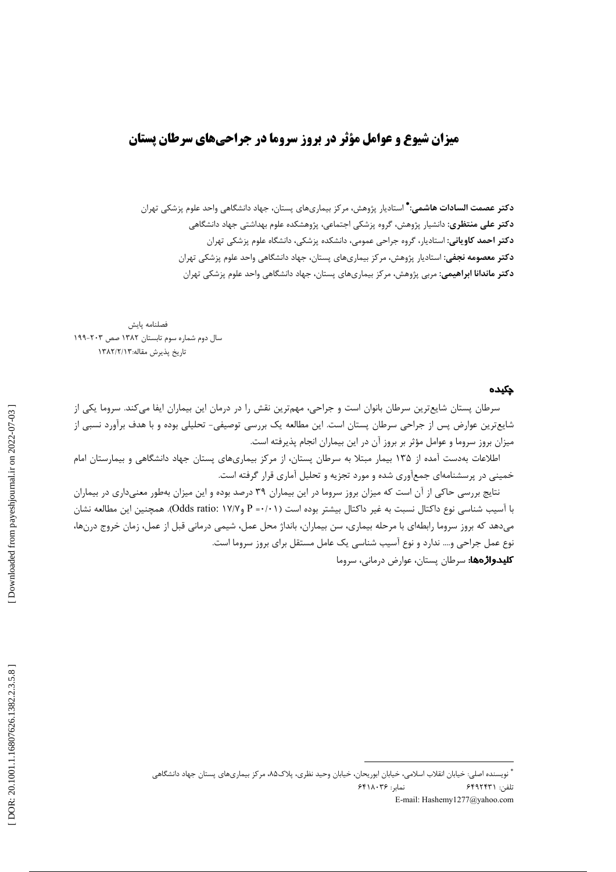# **میزان شیوع و عوامل مؤثر در بروز سروما در جراحیهای سرطان پستان**

**دکتر عصمت السادات هاشمی:\*** استادیار پژوهش، مرکز بیماریهای پستان، جهاد دانشگاهی واحد علوم پزشکی تهران **دکتر علی منتظری:** دانشیار پژوهش، گروه پزشکی اجتماعی، پژوهشکده علوم بهداشتی جهاد دانشگاهی **دکتر احمد کاویانی**: استادیار، گروه جراحی عمومی، دانشکده پزشکی، دانشگاه علوم پزشکی تهران **دکتر معصومه نجفی:** استادیار پژوهش، مرکز بیماریهای پستان، جهاد دانشگاهی واحد علوم پزشکی تهران **دکتر ماندانا ابراهیمی:** مربی پژوهش، مرکز بیماریهای پستان، جهاد دانشگاهی واحد علوم پزشکی تهران

فصلنامه بايش سال دوم شماره سوم تابستان ١٣٨٢ صص ٢٠٣-١٩٩ تاريخ پذيرش مقاله:١٣٨٢/٢/١٣

## جكيده

سرطان پستان شایعترین سرطان بانوان است و جراحی، مهمترین نقش را در درمان این بیماران ایفا میکند. سروما یکی از شایع ترین عوارض پس از جراحی سرطان پستان است. این مطالعه یک بررسی توصیفی- تحلیلی بوده و با هدف برآورد نسبی از میزان بروز سروما و عوامل مؤثر بر بروز آن در این بیماران انجام پذیرفته است.

اطلاعات بهدست آمده از ۱۳۵ بیمار مبتلا به سرطان پستان، از مرکز بیماریهای پستان جهاد دانشگاهی و بیمارستان امام خمینی در پرسشنامهای جمعآوری شده و مورد تجزیه و تحلیل آماری قرار گرفته است.

نتایج بررسی حاکی از آن است که میزان بروز سروما در این بیماران ۳۹ درصد بوده و این میزان بهطور معنیداری در بیماران با آسیب شناسی نوع داکتال نسبت به غیر داکتال بیشتر بوده است (۱۰/۰+ P =۰/۰۱) وOdds ratio: ۱۷/۷. همچنین این مطالعه نشان میدهد که بروز سروما رابطهای با مرحله بیماری، سن بیماران، بانداژ محل عمل، شیمی درمانی قبل از عمل، زمان خروج درنها، نوع عمل جراحی و…. ندارد و نوع آسیب شناسی یک عامل مستقل برای بروز سروما است. كليدواژهها: سرطان يستان، عوارض درماني، سروما

<sup>\*</sup> نويسنده اصلي: خيابان انقلاب اسلامي، خيابان ابوريحان، خيابان وحيد نظري، پلاک۸۵، مركز بيماريهاي پستان جهاد دانشگاهي  $5511.77$ نمار: تلفن: ۶۴۹۲۴۳۱ E-mail: Hashemy1277@yahoo.com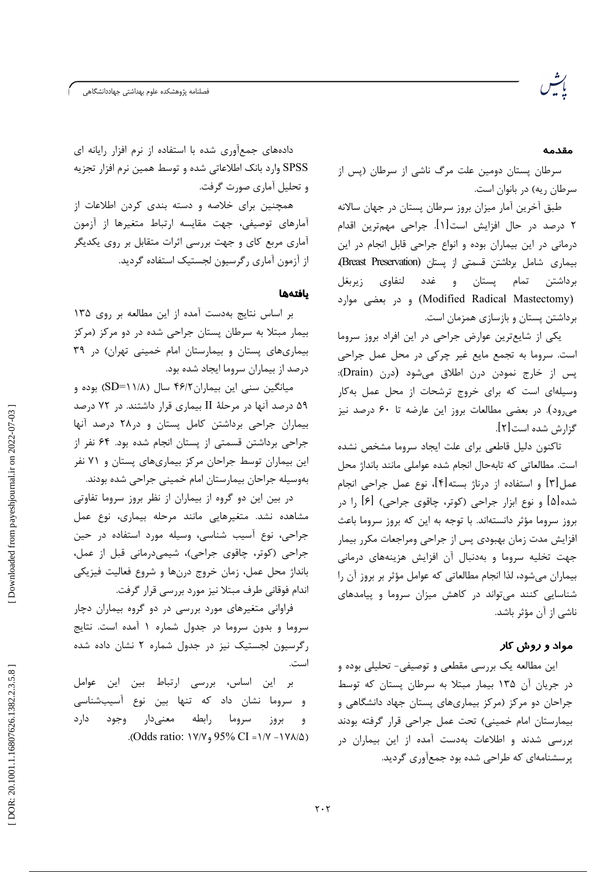فصلنامه پژوهشكده علوم بهداشتى جهاددانشگاهى

#### مقدمه

سرطان پستان دومین علت مرگ ناشی از سرطان (پس از سرطان ريه) در بانوان است.

طبق آخرین آمار میزان بروز سرطان پستان در جهان سالانه ۲ درصد در حال افزایش است[۱]. جراحی مهمترین اقدام درمانی در این بیماران بوده و انواع جراحی قابل انجام در این بیماری شامل برداشتن قسمتی از پستان (Breast Preservation) برداشتن تمام يستان و غدد لنفاوى زيربغل (Modified Radical Mastectomy) و در بعضی موارد برداشتن پستان و بازسازی همزمان است.

یکی از شایعترین عوارض جراحی در این افراد بروز سروما است. سروما به تجمع مایع غیر چرکی در محل عمل جراحی پس از خارج نمودن درن اطلاق میشود (درن (Drain): وسیلهای است که برای خروج ترشحات از محل عمل بهکار می رود). در بعضی مطالعات بروز این عارضه تا ۶۰ درصد نیز گزارش شده است[۲].

تاكنون دليل قاطعي براى علت ايجاد سروما مشخص نشده است. مطالعاتی که تابهحال انجام شده عواملی مانند بانداژ محل عمل[۳] و استفاده از درناژ بسته[۴]، نوع عمل جراحی انجام شده[۵] و نوع ابزار جراحی (کوتر، چاقوی جراحی) [۶] را در بروز سروما مؤثر دانستهاند. با توجه به این که بروز سروما باعث افزایش مدت زمان بهبودی پس از جراحی ومراجعات مکرر بیمار جهت تخلیه سروما و بهدنبال آن افزایش هزینههای درمانی بيماران مي شود، لذا انجام مطالعاتي كه عوامل مؤثر بر بروز آن را شناسایی کنند می تواند در کاهش میزان سروما و پیامدهای ناشي از آن مؤثر باشد.

## مواد و روش کار

این مطالعه یک بررسی مقطعی و توصیفی- تحلیلی بوده و در جریان آن ۱۳۵ بیمار مبتلا به سرطان پستان که توسط جراحان دو مرکز (مرکز بیماریهای پستان جهاد دانشگاهی و بيمارستان امام خميني) تحت عمل جراحي قرار گرفته بودند بررسی شدند و اطلاعات بهدست آمده از این بیماران در پرسشنامهای که طراحی شده بود جمعآوری گردید.

دادههای جمعآوری شده با استفاده از نرم افزار رایانه ای SPSS وارد بانک اطلاعاتی شده و توسط همین نرم افزار تجزیه و تحليل آماري صورت گرفت.

همچنین برای خلاصه و دسته بندی کردن اطلاعات از آمارهای توصیفی، جهت مقایسه ارتباط متغیرها از آزمون آماری مربع کای و جهت بررسی اثرات متقابل بر روی یکدیگر از آزمون آماری رگرسیون لجستیک استفاده گردید.

## بافتهها

بر اساس نتایج بهدست آمده از این مطالعه بر روی ۱۳۵ بیمار مبتلا به سرطان پستان جراحی شده در دو مرکز (مرکز بیماریهای یستان و بیمارستان امام خمینی تهران) در ۳۹ درصد از بیماران سروما ایجاد شده بود.

میانگین سنی این بیماران ۴۶/۲ سال (۱۱/۸=SD) بوده و ۵۹ درصد آنها در مرحلهٔ II بیماری قرار داشتند. در ۷۲ درصد بیماران جراحی برداشتن کامل پستان و در۲۸ درصد آنها جراحی برداشتن قسمتی از پستان انجام شده بود. ۶۴ نفر از این بیماران توسط جراحان مرکز بیماریهای پستان و ۷۱ نفر بهوسیله جراحان بیمارستان امام خمینی جراحی شده بودند.

در بین این دو گروه از بیماران از نظر بروز سروما تفاوتی مشاهده نشد. متغیرهایی مانند مرحله بیماری، نوع عمل جراحی، نوع آسیب شناسی، وسیله مورد استفاده در حین جراحي (كوتر، چاقوي جراحي)، شيمي،درماني قبل از عمل، بانداژ محل عمل، زمان خروج درنها و شروع فعالیت فیزیکی اندام فوقانی طرف مبتلا نیز مورد بررسی قرار گرفت.

فراوانی متغیرهای مورد بررسی در دو گروه بیماران دچار سروما و بدون سروما در جدول شماره ۱ آمده است. نتایج رگرسیون لجستیک نیز در جدول شماره ۲ نشان داده شده است.

بر این اساس، بررسی ارتباط بین این عوامل و سروما نشان داد که تنها بین نوع آسیبشناسی سروما رابطه معنےدار وجود دارد بروز  $\ddot{ }$ .(Odds ratio:  $V/Y$ ,  $95\%$  CI =  $V/Y - VX/\Delta$ )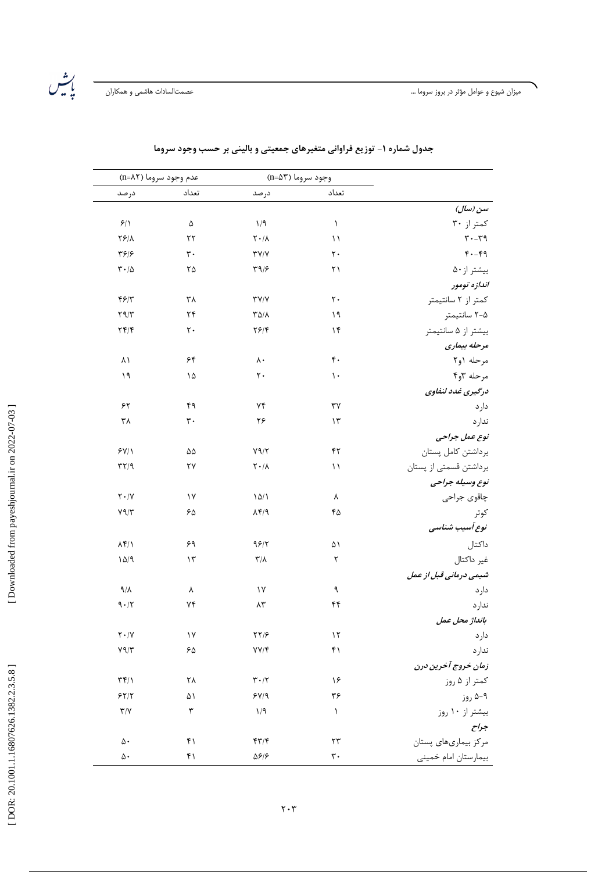میزان شیوع و عوامل مؤثر در بروز سروما …

عصمتالسادات هاشمي و همكاران

 $\bigcup_{i=1}^n$ 

| عدم وجود سروما (n=۸۲)                   |                   | وجود سروما (n=۵۳)                       |                        |                              |
|-----------------------------------------|-------------------|-----------------------------------------|------------------------|------------------------------|
| درصد                                    | تعداد             | درصد                                    | تعداد                  |                              |
|                                         |                   |                                         |                        | سن (سال)                     |
| 9/1                                     | ۵                 | 1/9                                     | $\lambda$              | کمتر از ۳۰                   |
| $YF/\lambda$                            | ۲۲                | $\mathsf{Y} \cdot / \mathsf{A}$         | $\setminus$            | $r - rq$                     |
| $\frac{1}{2}$                           | $\mathsf{r}\cdot$ | $\Upsilon V/V$                          | $\mathsf{r}$ .         | $F - F9$                     |
| $\mathbf{r} \cdot \mathbf{0}$           | ۲۵                | $\mathbf{r} \mathbf{q}/\mathbf{r}$      | $\mathsf{r}\setminus$  | بيشتر از ۵۰                  |
|                                         |                   |                                         |                        | اندازه تومور                 |
| 55/7                                    | ۳۸                | $\Upsilon$ $\Upsilon$                   | $\mathsf{r}\cdot$      | کمتر از ۲ سانتیمتر           |
| $\Upsilon$ 9/ $\Upsilon$                | ۲۴                | $T\Delta/\Lambda$                       | ۱۹                     | ∆-۲ سانتیمتر                 |
| $\mathbf{Y} \mathbf{Y} / \mathbf{Y}$    | ٢٠                | Y5/                                     | $\gamma$               | بیشتر از ۵ سانتیمتر          |
|                                         |                   |                                         |                        | مرحله بيمارى                 |
| ۸۱                                      | ۶۴                | ٨٠                                      | $\mathfrak{r}$ .       | مرحله ۱و۲                    |
| ۱۹                                      | ۱۵                | $\mathsf{r}$ .                          | $\mathcal{L}$          | مرحله ۶و۴                    |
|                                         |                   |                                         |                        | درگیری غدد لنفاوی            |
| ۶۲                                      | ۴۹                | ٧۴                                      | ٣٧                     | دارد                         |
| ۳۸                                      | $\mathsf{r}\cdot$ | ۲۶                                      | $\mathcal{N}$          | ندارد                        |
|                                         |                   |                                         |                        | نوع عمل جراحی                |
| 5Y/1                                    | ۵۵                | $Y \Upsilon / \Upsilon$                 | ۴٢                     | برداشتن كامل پستان           |
| $\mathbf{r} \mathbf{y}$                 | ٢٧                | $\mathsf{Y} \cdot / \mathsf{A}$         | $\setminus$            | برداشتن قسمتی از یستان       |
|                                         |                   |                                         |                        | نوع وسيله جراحي              |
| $Y \cdot / Y$                           | $\gamma$          | 10/1                                    | λ                      | چاقوي جراحي                  |
| $Y \Upsilon / \Upsilon$                 | ۶۵                | $\lambda f$                             | ۴۵                     | كوتر                         |
|                                         |                   |                                         |                        | نوع آسیب شناسی               |
| $\Lambda$ ۴/ $\Lambda$                  | ۶۹                | 98/7                                    | ۵۱                     | داكتال                       |
| 10/9                                    | $\gamma$          | $\mathsf{r}/\mathsf{v}$                 | ٢                      | غير داكتال                   |
|                                         |                   |                                         |                        | شیمی درمانی قبل از عمل       |
| $9/\lambda$                             | γ                 | $\gamma$                                | ٩                      | دارد                         |
| 9.17                                    | ٧۴                | $\Lambda \tau$                          | ۴۴                     | ندار د                       |
|                                         |                   |                                         |                        | بانداژ محل عمل               |
| $\mathsf{Y} \cdot \mathsf{Y}$           | ۱۷                | ۲۲/۶                                    | ۱۲                     | دارد                         |
| $\mathsf{Y}\, \mathsf{Q}/\mathsf{Y}$    | ۶۵                | $YY/\mathfrak{F}$                       | ۴۱                     | ندارد                        |
|                                         |                   |                                         |                        | زمان خروج آخرین درن          |
| $\Upsilon \Upsilon / \Upsilon$          | ۲۸                | $\mathbf{r}\cdot\mathbf{1}$             | ۱۶                     | کمتر از ۵ روز                |
| $\mathcal{F} \mathcal{T} / \mathcal{T}$ | ۵۱                | 54/9                                    | ۳۶                     | ۹–۵ روز                      |
| $\Upsilon/\Upsilon$                     | ٣                 | 1/9                                     | $\lambda$              | بیشتر از ۱۰ روز              |
|                                         |                   |                                         |                        | جراح                         |
| $\Delta$ .                              | ۴۱                | $\mathfrak{f}\mathfrak{r}/\mathfrak{f}$ | $\mathbf{r}\mathbf{r}$ | مرکز بیماریهای پستان         |
| ۵۰                                      | ۴۱                | 9/8                                     | $\mathbf{r}$ .         | بیمارستا <u>ن</u> امام خمینی |

جدول شماره ۱- توزیع فراوانی متغیرهای جمعیتی و بالینی بر حسب وجود سروما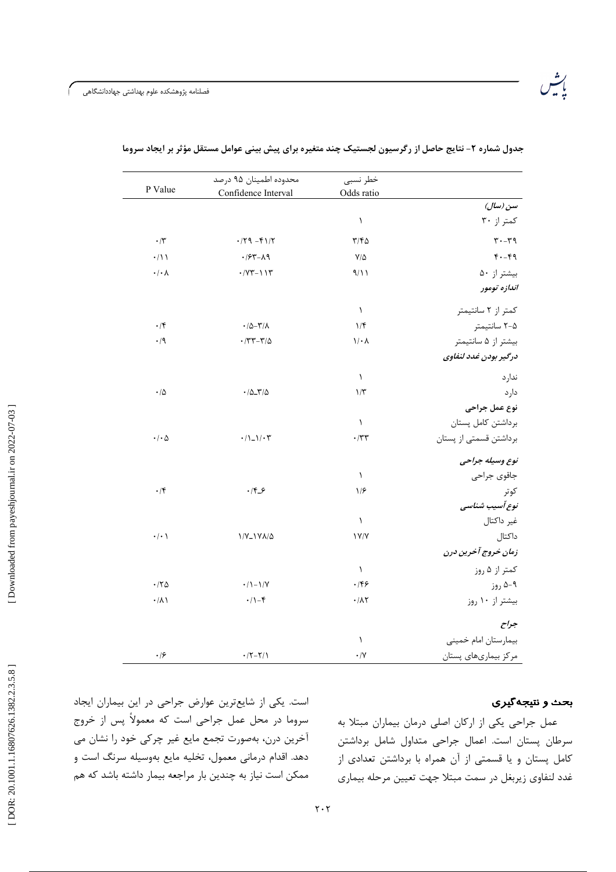|                        | خطر نسبى<br>Odds ratio   | محدوده اطمينان ۹۵ درصد<br>Confidence Interval | P Value                                                        |
|------------------------|--------------------------|-----------------------------------------------|----------------------------------------------------------------|
| سن (سال)               |                          |                                               |                                                                |
| کمتر از ۳۰             | $\lambda$                |                                               |                                                                |
| $r - rq$               | $\Gamma/\Upsilon\Delta$  | $4/79 - 91/7$                                 | $\cdot$ /٣                                                     |
| $F - F9$               | $Y/\Delta$               | $.757 - 19$                                   | $\cdot/$                                                       |
| بيشتر از ۵۰            | 9/11                     | $\cdot$ / $YY - 11Y$                          | $\boldsymbol{\cdot}\, \boldsymbol{\cdot}\,\boldsymbol{\wedge}$ |
| اندازه تومور           |                          |                                               |                                                                |
| کمتر از ۲ سانتیمتر     | $\lambda$                |                                               |                                                                |
| ∆−۲ سانتیمتر           | $1/\mathfrak{f}$         | $\cdot$ /0- $\tau$ / $\lambda$                | $\cdot$ /۴                                                     |
| بیشتر از ۵ سانتیمتر    | $1/\cdot \Lambda$        | $\cdot$ /٣٣-٣/۵                               | $\cdot$ /9                                                     |
| درگير بودن غدد لنفاوي  |                          |                                               |                                                                |
| ندارد                  | $\lambda$                |                                               |                                                                |
| دارد                   | $1/\tau$                 | $\cdot/\Delta$ - $\tau/\Delta$                | $\cdot/\Delta$                                                 |
| نوع عمل جراحى          |                          |                                               |                                                                |
| برداشتن كامل پستان     | $\lambda$                |                                               |                                                                |
| برداشتن قسمتى از پستان | $\boldsymbol{\cdot}$ /٣٣ | $\cdot/\right. \setminus \cdot \tau$          | $\boldsymbol{\cdot}\,/\boldsymbol{\cdot}$ $\Delta$             |
| نوع وسيله جراحي        |                          |                                               |                                                                |
| جاقوي جراحي            | $\lambda$                |                                               |                                                                |
| كوتر                   | 1/5                      | $.15 - 5$                                     | $\cdot$ /۴                                                     |
| نوع آسیب شناسی         |                          |                                               |                                                                |
| غير داكتال             | $\lambda$                |                                               |                                                                |
| داكتال                 | Y/Y                      | 1/Y_1YA/A                                     | $\cdot$ / $\cdot$ /                                            |
| زمان خروج آخرین درن    |                          |                                               |                                                                |
| کمتر از ۵ روز          | $\lambda$                |                                               |                                                                |
| ۹−۵ روز                | .199                     | $\cdot / \cdot - \cdot / \cdot V$             | $\cdot$ /۲۵                                                    |
| بیشتر از ۱۰ روز        | $\cdot/\lambda\Upsilon$  | $\cdot/1 - f$                                 | $\cdot/\lambda$                                                |
| جراح                   |                          |                                               |                                                                |
| بيمارستان امام خمينى   | $\lambda$                |                                               |                                                                |
| مرکز بیماریهای پستان   | $\cdot/\Upsilon$         | $\cdot$ / $\tau$ - $\tau$ / $\lambda$         | ۰۱۶                                                            |

جدول شماره ۲- نتایج حاصل از رگرسیون لجستیک چند متغیره برای پیش بینی عوامل مستقل مؤثر بر ایجاد سروما

#### بحث و نتیجه گیری

عمل جراحی یکی از ارکان اصلی درمان بیماران مبتلا به سرطان پستان است. اعمال جراحی متداول شامل برداشتن کامل پستان و یا قسمتی از آن همراه با برداشتن تعدادی از غدد لنفاوي زيربغل در سمت مبتلا جهت تعيين مرحله بيماري

است. یکی از شایعترین عوارض جراحی در این بیماران ایجاد سروما در محل عمل جراحی است که معمولاً پس از خروج آخرین درن، بهصورت تجمع مایع غیر چرکی خود را نشان می دهد. اقدام درمانی معمول، تخلیه مایع بهوسیله سرنگ است و ممکن است نیاز به چندین بار مراجعه بیمار داشته باشد که هم